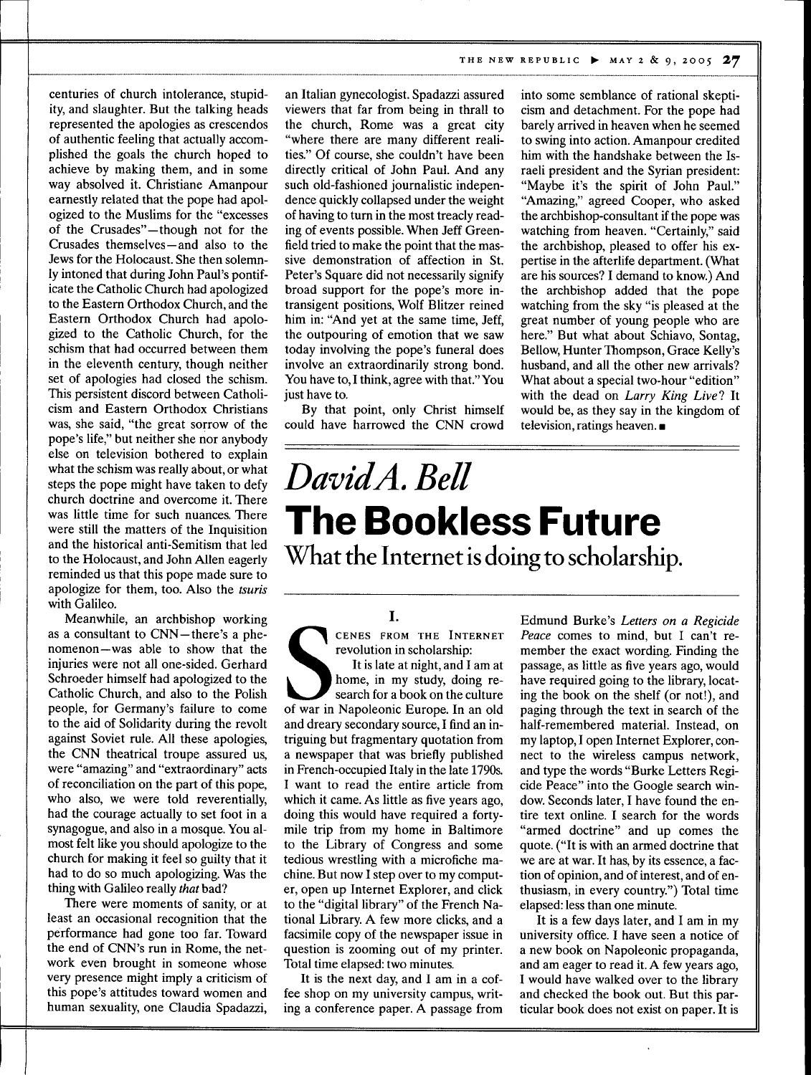centuries of church intolerance, stupidity, and slaughter. But the talking heads represented the apologies as crescendos of authentic feeling that actually accomplished the goals the church hoped to achieve by making them, and in some way absolved it. Christiane Amanpour earnestly related that the pope had apologized to the Muslims for the "excesses of the Crusades"—though not for the Crusades themselves—and also to the Jews for the Holocaust. She then solemnly intoned that during John Paul's pontificate the Catholic Church had apologized to the Eastern Orthodox Church, and the Eastern Orthodox Church had apologized to the Catholic Church, for the schism that had occurred between them in the eleventh century, though neither set of apologies had closed the schism. This persistent discord between Catholicism and Eastern Orthodox Christians was, she said, "the great sorrow of the pope's life," but neither she nor anybody else on television bothered to explain what the schism was really about, or what steps the pope might have taken to defy church doctrine and overcome it. There was little time for such nuances. There were still the matters of the Inquisition and the historical anti-Semitism that led to the Holocaust, and John Allen eagerly reminded us that this pope made sure to apologize for them, too. Also the *tsuris* with Galileo.

Meanwhile, an archbishop working as a consultant to CNN-there's a phenomenon—was able to show that the injuries were not all one-sided. Gerhard Schroeder himself had apologized to the Catholic Church, and also to the Polish people, for Germany's failure to come to the aid of Solidarity during the revolt against Soviet rule. All these apologies, the CNN theatrical troupe assured us, were "amazing" and "extraordinary" acts of reconciliation on the part of this pope, who also, we were told reverentially, had the courage actually to set foot in a synagogue, and also in a mosque. You almost felt like you should apologize to the church for making it feel so guilty that it had to do so much apologizing. Was the thing with Galileo really *that* bad?

There were moments of sanity, or at least an occasional recognition that the performance had gone too far. Toward the end of CNN's run in Rome, the network even brought in someone whose very presence might imply a criticism of this pope's attitudes toward women and human sexuality, one Claudia Spadazzi,

an Italian gynecologist. Spadazzi assured viewers that far from being in thrall to the church, Rome was a great city "where there are many different realities." Of course, she couldn't have been directly critical of John Paul. And any such old-fashioned journalistic independence quickly collapsed under the weight of having to turn in the most treacly reading of events possible. When Jeff Greenfield tried to make the point that the massive demonstration of affection in St. Peter's Square did not necessarily signify broad support for the pope's more intransigent positions. Wolf Blitzer reined him in: "And yet at the same time, Jeff, the outpouring of emotion that we saw today involving the pope's funeral does involve an extraordinarily strong bond. You have to, I think, agree with that." You just have to.

By that point, only Christ himself could have harrowed the CNN crowd

into some semblance of rational skepticism and detachment. For the pope had barely arrived in heaven when he seemed to swing into action. Amanpour credited him with the handshake between the Israeli president and the Syrian president: "Maybe it's the spirit of John Paul." "Amazing," agreed Cooper, who asked the archbishop-consultant if the pope was watching from heaven. "Certainly," said the archbishop, pleased to offer his expertise in the afterlife department. (What are his sources? I demand to know.) And the archbishop added that the pope watching from the sky "is pleased at the great number of young people who are here." But what about Schiavo, Sontag, Bellow, Hunter Thompson, Grace Kelly's husband, and all the other new arrivals? What about a special two-hour "edition" with the dead on *Larry King Live*? It would be, as they say in the kingdom of television, ratings heaven. •

## *David A. Bell* **The Bookless Future** What the Internet is doing to scholarship.

**I.**

CENES FROM THE INTERNET revolution in scholarship:

CENES FROM THE INTERNET<br>revolution in scholarship:<br>It is late at night, and I am at<br>home, in my study, doing re-<br>search for a book on the culture<br>of war in Napoleonic Europe. In an old It is late at night, and I am at home, in my study, doing research for a book on the culture and dreary secondary source, I find an intriguing but fragmentary quotation from a newspaper that was briefly published in French-occupied Italy in the late 1790s. I want to read the entire article from which it came. As little as five years ago, doing this would have required a fortymile trip from my home in Baltimore to the Library of Congress and some tedious wrestling with a microfiche machine. But now I step over to my computer, open up Internet Explorer, and click to the "digital library" of the French National Library. A few more clicks, and a facsimile copy of the newspaper issue in question is zooming out of my printer. Total time elapsed: two minutes.

It is the next day, and I am in a coffee shop on my university campus, writing a conference paper. A passage from

Edmund Burke's *Letters on a Regicide Peace* comes to mind, but I can't remember the exact wording. Finding the passage, as little as five years ago, would have required going to the library, locating the book on the shelf (or not!), and paging through the text in search of the half-remembered material. Instead, on my laptop, I open Internet Explorer, connect to the wireless campus network, and type the words "Burke Letters Regicide Peace" into the Google search window. Seconds later, I have found the entire text online. I search for the words "armed doctrine" and up comes the quote. ("It is with an armed doctrine that we are at war. It has, by its essence, a faction of opinion, and of interest, and of enthusiasm, in every country.") Total time elapsed: less than one minute.

It is a few days later, and I am in my university office. I have seen a notice of a new book on Napoleonic propaganda, and am eager to read it. A few years ago, I would have walked over to the library and checked the book out. But this particular book does not exist on paper. It is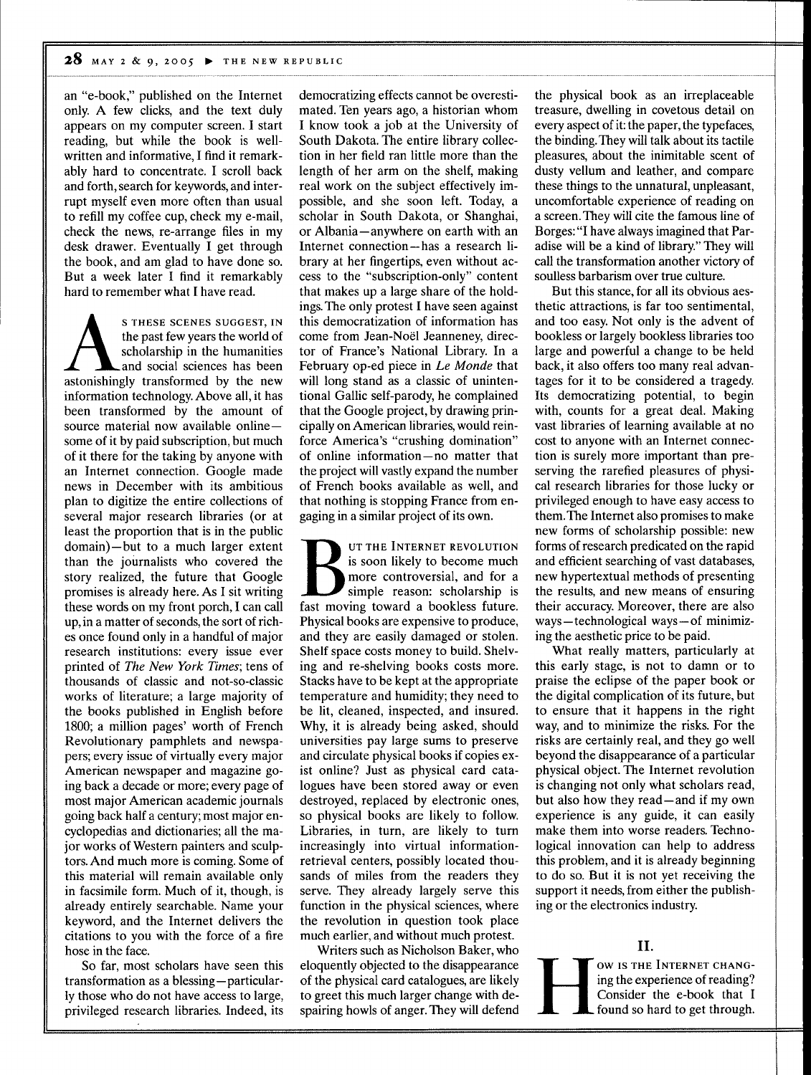an "e-book," published on the Internet only. A few clicks, and the text duly appears on my computer screen. I start reading, but while the book is wellwritten and informative, I find it remarkably hard to concentrate. I scroll back and forth, search for keywords, and interrupt myself even more often than usual to refill my coffee cup, check my e-mail, check the news, re-arrange files in my desk drawer. Eventually I get through the book, and am glad to have done so. But a week later I find it remarkably hard to remember what I have read.

S THESE SCENES SUGGEST, IN<br>the past few years the world of<br>scholarship in the humanities<br>and social sciences has been<br>astonishingly transformed by the new s THESE SCENES SUGGEST, IN the past few years the world of scholarship in the humanities and social sciences has been information technology. Above all, it has been transformed by the amount of source material now available online some of it by paid subscription, but much of it there for the taking by anyone with an Internet connection. Google made news in December with its ambitious plan to digitize the entire collections of several major research libraries (or at least the proportion that is in the public domain)—but to a much larger extent than the journalists who covered the story realized, the future that Google promises is already here. As I sit writing these words on my front porch, I can call up, in a matter of seconds, the sort of riches once found only in a handful of major research institutions: every issue ever printed of *The New York Times;* tens of thousands of classic and not-so-classic works of literature; a large majority of the books published in English before 1800; a million pages' worth of French Revolutionary pamphlets and newspapers; every issue of virtually every major American newspaper and magazine going back a decade or more; every page of most major American academic journals going back half a century; most major encyclopedias and dictionaries; all the major works of Western painters and sculptors. And much more is coming. Some of this material will remain available only in facsimile form. Much of it, though, is already entirely searchable. Name your keyword, and the Internet delivers the citations to you with the force of a fire hose in the face.

So far, most scholars have seen this transformation as a blessing—particularly those who do not have access to large, privileged research libraries. Indeed, its

democratizing effects cannot be overestimated. Ten years ago, a historian whom I know took a job at the University of South Dakota. The entire library collection in her field ran little more than the length of her arm on the shelf, making real work on the subject effectively impossible, and she soon left. Today, a scholar in South Dakota, or Shanghai, or Albania—anywhere on earth with an Internet connection—has a research library at her fingertips, even without access to the "subscription-only" content that makes up a large share of the holdings. The only protest I have seen against this democratization of information has come from Jean-Noël Jeanneney, director of France's National Library. In a February op-ed piece in *Le Monde* that will long stand as a classic of unintentional Gallic self-parody, he complained that the Google project, by drawing principally on American libraries, would reinforce America's "crushing domination" of online information—no matter that the project will vastly expand the number of French books available as well, and that nothing is stopping France from engaging in a similar project of its own.

UT THE INTERNET REVOLUTION<br>
is soon likely to become much<br>
more controversial, and for a<br>
simple reason: scholarship is<br>
fast moving toward a bookless future. UT THE INTERNET REVOLUTION is soon likely to become much more controversial, and for a simple reason: scholarship is Physical books are expensive to produce, and they are easily damaged or stolen. Shelf space costs money to build. Shelving and re-shelving books costs more. Stacks have to be kept at the appropriate temperature and humidity; they need to be lit, cleaned, inspected, and insured. Why, it is already being asked, should universities pay large sums to preserve and circulate physical books if copies exist online? Just as physical card catalogues have been stored away or even destroyed, replaced by electronic ones, so physical books are likely to follow. Libraries, in turn, are likely to turn increasingly into virtual informationretrieval centers, possibly located thousands of miles from the readers they serve. They already largely serve this function in the physical sciences, where the revolution in question took place much earlier, and without much protest.

Writers such as Nicholson Baker, who eloquently objected to the disappearance of the physical card catalogues, are likely to greet this much larger change with despairing howls of anger. They will defend the physical book as an irreplaceable treasure, dwelling in covetous detail on every aspect of it: the paper, the typefaces, the binding. They will talk about its tactile pleasures, about the inimitable scent of dusty vellum and leather, and compare these things to the unnatural, unpleasant, uncomfortable experience of reading on a screen. They wiU cite the famous line of Borges: "I have always imagined that Paradise will be a kind of library." They will call the transformation another victory of soulless barbarism over true culture.

But this stance, for all its obvious aesthetic attractions, is far too sentimental, and too easy. Not only is the advent of bookless or Jargely bookless libraries too large and powerful a change to be held back, it also offers too many real advantages for it to be considered a tragedy. Its democratizing potential, to begin with, counts for a great deal. Making vast libraries of learning available at no cost to anyone with an Internet connection is surely more important than preserving the rarefied pleasures of physical research libraries for those lucky or privileged enough to have easy access to them. The Internet also promises to make new forms of scholarship possible: new forms of research predicated on the rapid and efficient searching of vast databases, new hypertextual methods of presenting the results, and new means of ensuring their accuracy. Moreover, there are also ways—technological ways—of minimizing the aesthetic price to be paid.

What really matters, particularly at this early stage, is not to damn or to praise the eclipse of the paper book or the digital complication of its future, but to ensure that it happens in the right way, and to minimize the risks. For the risks are certainly real, and they go well beyond the disappearance of a particular physical object. The Internet revolution is changing not only what scholars read, but also how they read—and if my own experience is any guide, it can easily make them into worse readers. Technological innovation can help to address this problem, and it is already beginning to do so. But it is not yet receiving the support it needs, from either the publishing or the electronics industry.

#### **II.**

 $\begin{bmatrix} \mathbf{r} \\ \mathbf{r} \\ \mathbf{r} \\ \mathbf{r} \\ \mathbf{r} \end{bmatrix}$ ow IS THE INTERNET CHANGing the experience of reading? Consider the e-book that I found so hard to get through.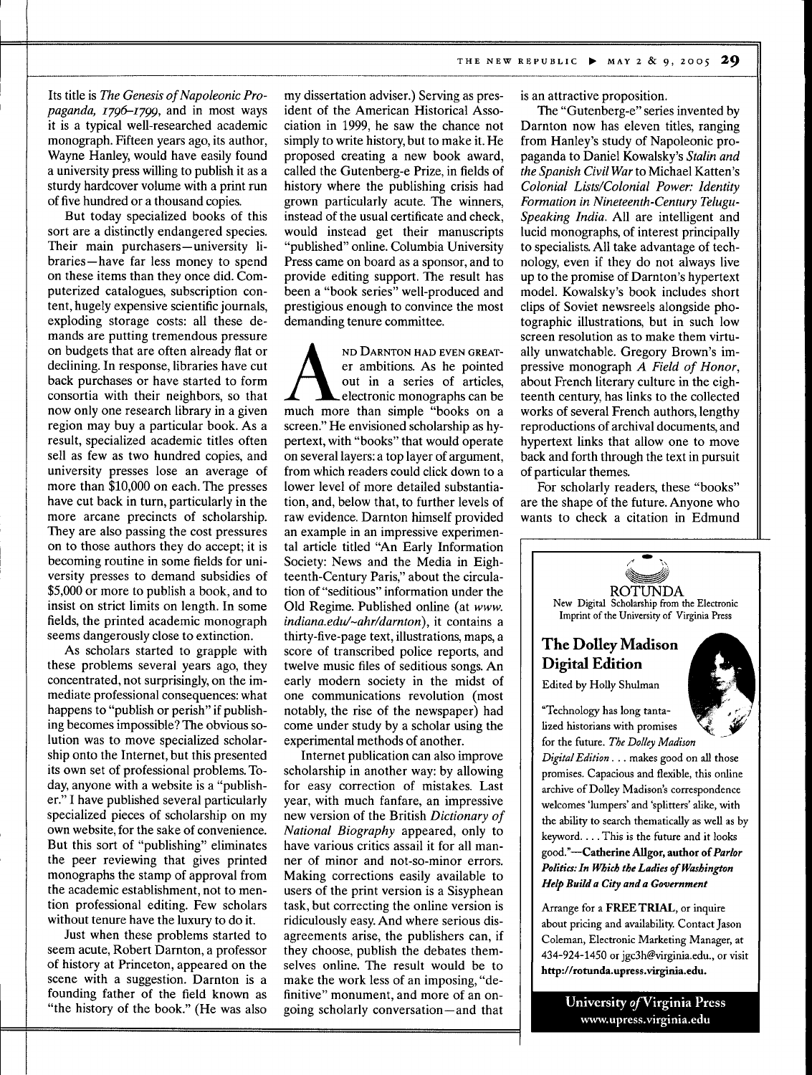Its title is *The Genesis of Napoleonic Propaganda, 1796-1799*, and in most ways it is a typical well-researched academic monograph. Fifteen years ago, its author, Wayne Hanley, would have easily found a university press willing to publish it as a sturdy hardcover volume with a print run of five hundred or a thousand copies.

But today specialized books of this sort are a distinctly endangered species. Their main purchasers—university libraries—have far less money to spend on these items than they once did. Computerized catalogues, subscription content, hugely expensive scientific journals, exploding storage costs: all these demands are putting tremendous pressure on budgets that are often already flat or declining. In response, libraries have cut back purchases or have started to form consortia with their neighbors, so that now only one research library in a given region may buy a particular book. As a result, specialized academic titles often sell as few as two hundred copies, and university presses lose an average of more than \$10,000 on each. The presses have cut back in turn, particularly in the more arcane precincts of scholarship. They are also passing the cost pressures on to those authors they do accept; it is becoming routine in some fields for university presses to demand subsidies of \$5,000 or more to publish a book, and to insist on strict limits on length. In some fields, the printed academic monograph seems dangerously close to extinction.

As scholars started to grapple with these problems several years ago, they concentrated, not surprisingly, on the immediate professional consequences: what happens to "publish or perish" if publishing becomes impossible? The obvious solution was to move specialized scholarship onto the Internet, but this presented its own set of professional problems. Today, anyone with a website is a "publisher." I have published several particularly specialized pieces of scholarship on my own website, for the sake of convenience. But this sort of "publishing" eliminates the peer reviewing that gives printed monographs the stamp of approval from the academic establishment, not to mention professional editing. Few scholars without tenure have the luxury to do it.

Just when these problems started to seem acute, Robert Darnton, a professor of history at Princeton, appeared on the scene with a suggestion. Darnton is a founding father of the field known as "the history of the book." (He was also

my dissertation adviser.) Serving as president of the American Historical Association in 1999, he saw the chance not simply to write history, but to make it. He proposed creating a new book award, called the Gutenberg-e Prize, in fields of history where the publishing crisis had grown particularly acute. The winners, instead of the usual certificate and check, would instead get their manuscripts "published" online. Columbia University Press came on board as a sponsor, and to provide editing support. The result has been a "book series" well-produced and prestigious enough to convince the most demanding tenure committee.

ND DARNTON HAD EVEN GREAT-<br>er ambitions. As he pointed<br>out in a series of articles,<br>much more than simple "books on a ND DARNTON HAD EVEN GREATer ambitions. As he pointed out in a series of articles, electronic monographs can be screen." He envisioned scholarship as hypertext, with "books" that would operate on several layers: a top layer of argument, from which readers could click down to a lower level of more detailed substantiation, and, below that, to further levels of raw evidence. Darnton himself provided an example in an impressive experimental article titled "An Early Information Society: News and the Media in Eighteenth-Century Paris," about the circulation of "seditious" information under the Old Regime. Published online (at www. *indiana.edu/~ahr/darnton),* it contains a thirty-five-page text, illustrations, maps, a score of transcribed police reports, and twelve music files of seditious songs. An early modem society in the midst of one communications revolution (most notably, the rise of the newspaper) had come under study by a scholar using the experimental methods of another.

Internet publication can also improve scholarship in another way: by allowing for easy correction of mistakes. Last year, with much fanfare, an impressive new version of the British *Dictionary of National Biography* appeared, only to have various critics assail it for all manner of minor and not-so-minor errors. Making corrections easily available to users of the print version is a Sisyphean task, but correcting the online version is ridiculously easy. And where serious disagreements arise, the publishers can, if they choose, publish the debates themselves online. The result would be to make the work less of an imposing, "definitive" monument, and more of an ongoing scholarly conversation—and that

is an attractive proposition.

The "Gutenberg-e" series invented by Darnton now has eleven titles, ranging from Hanley's study of Napoleonic propaganda to Daniel Kowalsky's *Stalin and the Spanish Civil War* to Michael Katten's *Colonial Lists/Colonial Power: Identity Formation in Nineteenth-Century Telugu-Speaking India.* All are intelligent and lucid monographs, of interest principally to specialists. All take advantage of technology, even if they do not always live up to the promise of Darnton's hypertext model. Kowalsky's book includes short clips of Soviet newsreels alongside photographic illustrations, but in such low screen resolution as to make them virtually unwatchable. Gregory Brown's impressive monograph *A Field of Honor,* about French literary culture in the eighteenth century, has links to the collected works of several French authors, lengthy reproductions of archival documents, and hypertext links that allow one to move back and forth through the text in pursuit of particular themes.

For scholarly readers, these "books" are the shape of the future. Anyone who wants to check a citation in Edmund



"Technology has long tantalized historians with promises

for the future. *The Dolley Madison Digital Edition . ..* makes good on all those promises. Capacious and flexible, this online archive of Dolley Madison's correspondence welcomes 'lumpers' and 'splitters' alike, with the ability to search thematically as well as by keyword... . This is the future and it looks

good."—**Catherine Allgor, author** *of Parlor Politia:In Which the Ladies of Washington Help Build a City and a Govemment*

Arrange for a **FREE TRIAL,** or inquire about pricing and availability. Contact Jason Coleman, Electronic Marketing Manager, at 434-924-1450 or jgc3h@virginia.edu., or visit **http://rotunda.upress.virginia.edu.**

> University of Virginia Press www.upress.virginia.edu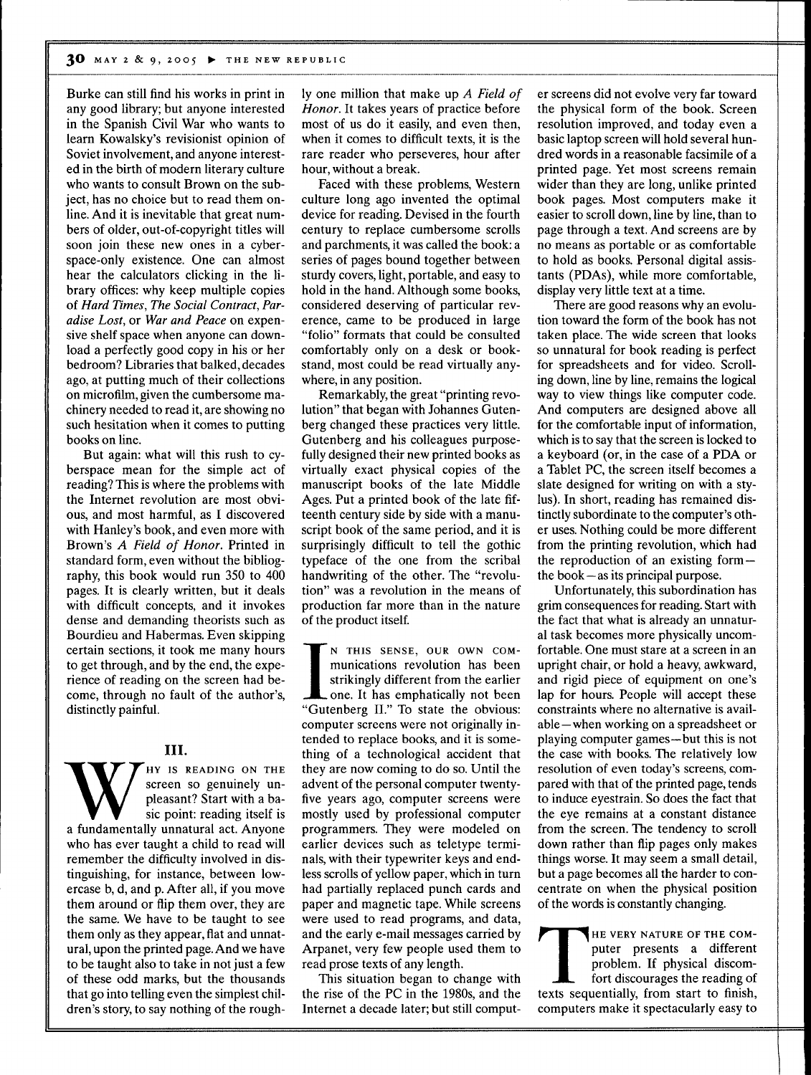Burke can still find his works in print in any good library; but anyone interested in the Spanish Civil War who wants to learn Kowalsky's revisionist opinion of Soviet involvement, and anyone interested in the birth of modern literary culture who wants to consult Brown on the subject, has no choice but to read them online. And it is inevitable that great numbers of older, out-of-copyright titles will soon join these new ones in a cyberspace-only existence. One can almost hear the calculators clicking in the library offices: why keep multiple copies of *Hard Times, The Social Contract, Paradise Lost,* or *War and Peace* on expensive shelf space when anyone can download a perfectly good copy in his or her bedroom? Libraries that balked, decades ago, at putting much of their collections on microfilm, given the cumbersome machinery needed to read it, are showing no such hesitation when it comes to putting books on line.

But again: what will this rush to cyberspace mean for the simple act of reading? This is where the problems with the Internet revolution are most obvious, and most harmful, as I discovered with Hanley's book, and even more with Brown's *A Field of Honor.* Printed in standard form, even without the bibliography, this book would run 350 to 400 pages. It is clearly written, but it deals with difficult concepts, and it invokes dense and demanding theorists such as Bourdieu and Habermas. Even skipping certain sections, it took me many hours to get through, and by the end, the experience of reading on the screen had become, through no fault of the author's, distinctly painful.

### III.

W HI. HI. S. READING ON THE SCREED SCREED SCREED IN PLACES AND SCREED TO PLACES A fundamentally unnatural act. Anyone HY IS READING ON THE screen so genuinely unpleasant? Start with a basic point: reading itself is who has ever taught a child to read will remember the difficulty involved in distinguishing, for instance, between lowercase b, d, and p. After all, if you move them around or flip them over, they are the same. We have to be taught to see them only as they appear, fiat and unnatural, upon the printed page. And we have to be taught also to take in not just a few of these odd marks, but the thousands that go into telling even the simplest children's story, to say nothing of the roughly one million that make up *A Field of Honor.* It takes years of practice before most of us do it easily, and even then, when it comes to difficult texts, it is the rare reader who perseveres, hour after hour, without a break.

Faced with these problems. Western culture long ago invented the optimal device for reading. Devised in the fourth century to replace cumbersome scrolls and parchments, it was called the book: a series of pages bound together between sturdy covers, light, portable, and easy to hold in the hand. Although some books, considered deserving of particular reverence, came to be produced in large "folio" formats that could be consulted comfortably only on a desk or bookstand, most could be read virtually anywhere, in any position.

Remarkably, the great "printing revolution" that began with Johannes Gutenberg changed these practices very little. Gutenberg and his colleagues purposefully designed their new printed books as virtually exact physical copies of the manuscript books of the late Middle Ages. Put a printed book of the late fifteenth century side by side with a manuscript book of the same period, and it is surprisingly difficult to tell the gothie typeface of the one from the scribal handwriting of the other. The "revolution" was a revolution in the means of production far more than in the nature of the product itself.

N THIS SENSE, OUR OWN COM-<br>munications revolution has been<br>strikingly different from the earlier<br>one. It has emphatically not been<br>"Gutenberg II." To state the obvious: N THIS SENSE, OUR OWN COMmunications revolution has been strikingly different from the earlier one. It has emphatically not been computer screens were not originally intended to replace books, and it is something of a technological accident that they are now coming to do so. Until the advent of the personal computer twentyfive years ago, computer screens were mostly used by professional computer programmers. They were modeled on earlier devices such as teletype terminals, with their typewriter keys and endless scrolls of yellow paper, which in turn had partially replaced punch cards and paper and magnetic tape. While screens were used to read programs, and data, and the early e-mail messages carried by Arpanet, very few people used them to read prose texts of any length.

This situation began to change with the rise of the PC in the 1980s, and the Internet a decade later; but still comput-

er screens did not evolve very far toward the physical form of the book. Screen resolution improved, and today even a basic laptop screen will hold several hundred words in a reasonable facsimile of a printed page. Yet most screens remain wider than they are long, unlike printed book pages. Most computers make it easier to scroll down, line by line, than to page through a text. And screens are by no means as portable or as comfortable to hold as books. Personal digital assistants (PDAs), while more comfortable, display very little text at a time.

There are good reasons why an evolution toward the form of the book has not taken place. The wide screen that looks so unnatural for book reading is perfect for spreadsheets and for video. Scrolling down, line by line, remains the logical way to view things like computer code. And computers are designed above all for the comfortable input of information, which is to say that the screen is locked to a keyboard (or, in the case of a PDA or a Tablet PC, the screen itself becomes a slate designed for writing on with a stylus). In short, reading has remained distinctly subordinate to the computer's other uses. Nothing could be more different from the printing revolution, which had the reproduction of an existing form the book—as its principal purpose.

Unfortunately, this subordination has grim consequences for reading. Start with the fact that what is already an unnatural task becomes more physically uncomfortable. One must stare at a screen in an upright chair, or hold a heavy, awkward, and rigid piece of equipment on one's lap for hours. People will accept these constraints where no alternative is available—when working on a spreadsheet or playing computer games—but this is not the case with books. The relatively low resolution of even today's screens, compared with that of the printed page, tends to induce eyestrain. So does the fact that the eye remains at a constant distance from the screen. The tendency to scroll down rather than flip pages only makes things worse. It may seem a small detail, but a page becomes all the harder to concentrate on when the physical position of the words is constantly changing.

HE VERY NATURE OF THE COM-<br>puter presents a different<br>problem. If physical discom-<br>fort discourages the reading of<br>texts sequentially, from start to finish, HE VERY NATURE OF THE COMputer presents a different problem. If physical discomfort discourages the reading of computers make it spectacularly easy to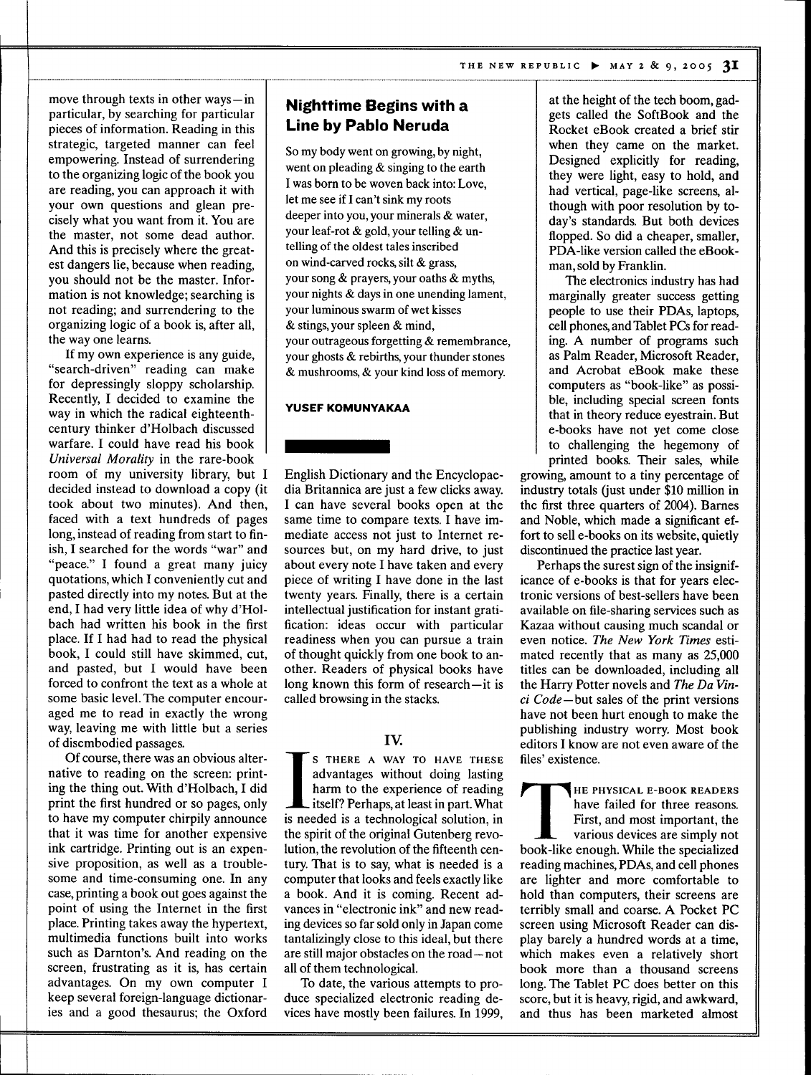move through texts in other ways—in particular, by searching for particular pieces of information. Reading in this strategic, targeted manner can feel empowering. Instead of surrendering to the organizing logic of the book you are reading, you can approach it with your own questions and glean precisely what you want from it. You are the master, not some dead author. And this is precisely where the greatest dangers lie, because when reading, you should not be the master. Information is not knowledge; searching is not reading; and surrendering to the organizing logic of a book is, after all, the way one learns.

If my own experience is any guide, "search-driven" reading can make for depressingly sloppy scholarship. Recently, I decided to examine the way in which the radical eighteenthcentury thinker d'Holbach discussed warfare. I could have read his book *Universal Morality* in the rare-book room of my university library, but I decided instead to download a copy (it took about two minutes). And then, faced with a text hundreds of pages long, instead of reading from start to finish, I searched for the words "war" and "peace." I found a great many juicy quotations, which I conveniently cut and pasted directly into my notes. But at the end, I had very little idea of why d'Holbach had written his book in the first place. If I had had to read the physical book, I could still have skimmed, cut, and pasted, but I would have been forced to confront the text as a whole at some basic level. The computer encouraged me to read in exactly the wrong way, leaving me with little but a series of disembodied passages.

Of course, there was an obvious alternative to reading on the screen: printing the thing out. With d'Holbach, I did print the first hundred or so pages, only to have my computer chirpily announce that it was time for another expensive ink cartridge. Printing out is an expensive proposition, as well as a troublesome and time-consuming one. In any case, printing a book out goes against the point of using the Internet in the first place. Printing takes away the hypertext, multimedia functions built into works such as Darnton's. And reading on the screen, frustrating as it is, has certain advantages. On my own computer I keep several foreign-language dictionaries and a good thesaurus; the Oxford

## **Nighttime Begins with a Line by Pablo Neruda**

So my body went on growing, by night, went on pleading & singing to the earth I was bom to be woven back into: Love, let me see if I can't sink my roots deeper into you, your minerals & water, your leaf-rot & gold, your telling & untelling of the oldest tales inscribed on wind-carved rocks, silt & grass, your song & prayers, your oaths & myths, your nights & days in one unending lament, your luminous swarm of wet kisses & stings, your spleen & mind, your outrageous forgetting & remembrance, your ghosts & rebirths, your thunder stones & mushrooms, & your kind loss of memory.

#### **YUSEF KOMUNYAKAA**

English Dictionary and the Encyclopaedia Britannica are just a few clicks away. I can have several books open at the same time to compare texts. I have immediate access not just to Internet resources but, on my hard drive, to just about every note I have taken and every piece of writing I have done in the last twenty years. Finally, there is a certain intellectual justification for instant gratification: ideas occur with particular readiness when you can pursue a train of thought quickly from one book to another. Readers of physical books have long known this form of research—it is called browsing in the stacks.

#### IV.

IT S THERE A WAY TO HAVE THESE<br>advantages without doing lasting<br>harm to the experience of reading<br>itself? Perhaps, at least in part. What<br>is needed is a technological solution, in s THERE A WAY TO HAVE THESE advantages without doing lasting harm to the experience of reading itself? Perhaps, at least in part. What the spirit of the original Gutenberg revolution, the revolution of the fifteenth century. That is to say, what is needed is a computer that looks and feels exactly like a book. And it is coming. Recent advances in "electronic ink" and new reading devices so far sold only in Japan come tantalizingly close to this ideal, but there are still major obstacles on the road—not all of them technological.

To date, the various attempts to produce specialized electronic reading devices have mostly been failures. In 1999,

at the height of the tech boom, gadgets called the SoftBook and the Rocket eBook created a brief stir when they came on the market. Designed explicitly for reading, they were light, easy to hold, and had vertical, page-like screens, although with poor resolution by today's standards. But both devices flopped. So did a cheaper, smaller, PDA-like version called the eBookman, sold by Franklin.

The electronics industry has had marginally greater success getting people to use their PDAs, laptops, cell phones, and Tablet PCs for reading. A number of programs such as Palm Reader, Microsoft Reader, and Acrobat eBook make these computers as "book-like" as possible, including special screen fonts that in theory reduce eyestrain. But e-books have not yet come close to challenging the hegemony of printed books. Their sales, while

growing, amount to a tiny percentage of industry totals (just under \$10 million in the first three quarters of 2004). Barnes and Noble, which made a significant effort to sell e-books on its website, quietly discontinued the practice last year.

Perhaps the surest sign of the insignificance of e-books is that for years electronic versions of best-sellers have been available on file-sharing services such as Kazaa without causing much scandal or even notice. *The New York Times* estimated recently that as many as 25,000 titles can be downloaded, including all the Harry Potter novels and *The Da Vinci Code—hut* sales of the print versions have not been hurt enough to make the publishing industry worry. Most book editors I know are not even aware of the files' existence.

HE PHYSICAL E-BOOK READERS<br>have failed for three reasons.<br>First, and most important, the<br>various devices are simply not<br>book-like enough. While the specialized HE PHYSICAL E-BOOK READERS have failed for three reasons. First, and most important, the various devices are simply not reading machines, PDAs, and cell phones are lighter and more comfortable to hold than computers, their screens are terribly small and coarse. A Pocket PC screen using Microsoft Reader can display barely a hundred words at a time, which makes even a relatively short book more than a thousand screens long. The Tablet PC does better on this score, but it is heavy, rigid, and awkward, and thus has been marketed almost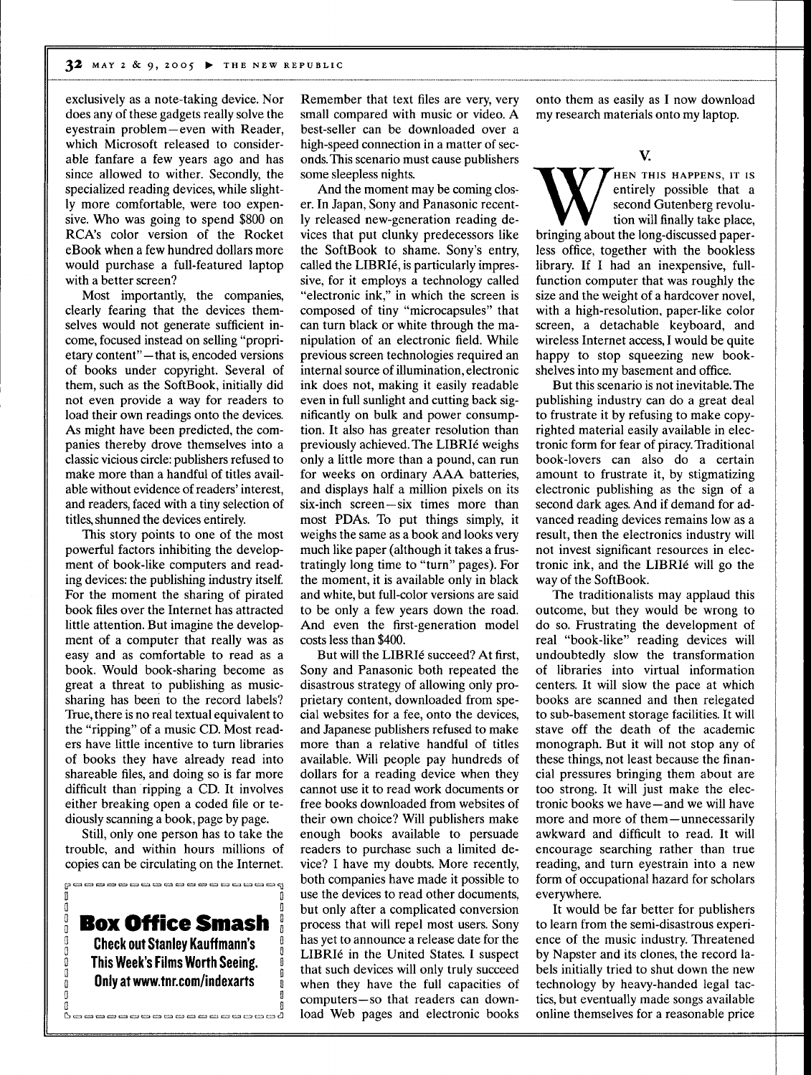exclusively as a note-taking device. Nor does any of these gadgets really solve the eyestrain problem—even with Reader, which Microsoft released to considerable fanfare a few years ago and has since allowed to wither. Secondly, the specialized reading devices, while slightly more comfortable, were too expensive. Who was going to spend \$800 on RCA's color version of the Rocket eBook when a few hundred dollars more would purchase a full-featured laptop with a better screen?

Most importantly, the companies, clearly fearing that the devices themselves would not generate sufficient income, focused instead on selling "proprietary content"—that is, encoded versions of books under copyright. Several of them, such as the SoftBook, initially did not even provide a way for readers to load their own readings onto the devices. As might have been predicted, the companies thereby drove themselves into a classic vicious circle: publishers refused to make more than a handful of titles available without evidence of readers' interest, and readers, faced with a tiny selection of titles, shunned the devices entirely.

This story points to one of the most powerful factors inhibiting the development of book-like computers and reading devices: the publishing industry itself. For the moment the sharing of pirated book files over the Internet has attracted little attention. But imagine the development of a computer that really was as easy and as comfortable to read as a book. Would book-sharing become as great a threat to publishing as musicsharing has been to the record labels? True, there is no real textual equivalent to the "ripping" of a music CD. Most readers have little incentive to turn libraries of books they have already read into shareable files, and doing so is far more difficult than ripping a CD. It involves either breaking open a coded file or tediously scanning a book, page by page.

Still, only one person has to take the trouble, and within hours millions of copies can be circulating on the Internet.

paciente e a contra come e a contra contra con

**Box Office Smash Check out Stanley Kauffmann's This Week's Films Werth Seeing. Only at www.tnr.com/indexarts**

, ...........................

Ō Ū ñ  $\eta$ 

Remember that text files are very, very small compared with music or video. A best-seller can be downloaded over a high-speed connection in a matter of seconds. This scenario must cause publishers some sleepless nights.

And the moment may be coming closer. In Japan, Sony and Panasonic recently released new-generation reading devices that put clunky predecessors like the SoftBook to shame. Sony's entry, called the LIBRIé, is particularly impressive, for it employs a technology called "electronic ink," in which the screen is composed of tiny "microcapsules" that can turn black or white through the manipulation of an electronic field. While previous screen technologies required an internal source of illumination, electronic ink does not, making it easily readable even in full sunlight and cutting back significantly on bulk and power consumption. It also has greater resolution than previously achieved. The LIBRIe weighs only a little more than a pound, can run for weeks on ordinary AAA batteries, and displays half a million pixels on its six-inch screen—six times more than most PDAs. To put things simply, it weighs the same as a book and looks very much like paper (although it takes a frustratingly long time to "turn" pages). For the moment, it is available only in black and white, but full-color versions are said to be only a few years down the road. And even the first-generation model costs less than \$400.

But will the LIBRI6 succeed? At first, Sony and Panasonic both repeated the disastrous strategy of allowing only proprietary content, downloaded from special websites for a fee, onto the devices, and Japanese publishers refused to make more than a relative handful of titles available. Will people pay hundreds of dollars for a reading device when they cannot use it to read work documents or free books downloaded from websites of their own choice? Will publishers make enough books available to persuade readers to purchase such a limited device? I have my doubts. More recently, both companies have made it possible to use the devices to read other documents, but only after a complicated conversion process that will repel most users. Sony has yet to announce a release date for the LIBRIe in the United States. I suspect that such devices will only truly succeed when they have the full capacities of computers—so that readers can download Web pages and electronic books

onto them as easily as I now download my research materials onto my laptop.

#### **V.**

WEN THIS HAPPENS, IT IS<br>entirely possible that a<br>second Gutenberg revolu-<br>tion will finally take place,<br>bringing about the long-discussed paper-HEN THIS HAPPENS, IT IS entirely possible that a second Gutenberg revolution will finally take place, less office, together with the bookless library. If I had an inexpensive, fullfunction computer that was roughly the size and the weight of a hardcover novel, with a high-resolution, paper-like color screen, a detachable keyboard, and wireless Internet access, I would be quite happy to stop squeezing new bookshelves into my basement and office.

But this scenario is not inevitable. The publishing industry can do a great deal to frustrate it by refusing to make copyrighted material easily available in electronic form for fear of piracy. Traditional book-lovers can also do a certain amount to frustrate it, by stigmatizing electronic publishing as the sign of a second dark ages. And if demand for advanced reading devices remains low as a result, then the electronics industry will not invest significant resources in electronic ink, and the LIBRIé will go the way of the SoftBook.

The traditionalists may applaud this outcome, but they would be wrong to do so. Frustrating the development of real "book-like" reading devices will undoubtedly slow the transformation of libraries into virtual information centers. It will slow the pace at which books are scanned and then relegated to sub-basement storage facilities. It will stave off the death of the academic monograph. But it will not stop any of these things, not least because the financial pressures bringing them about are too strong. It will just make the electronic books we have—and we will have more and more of them—unnecessarily awkward and difficult to read. It will encourage searching rather than true reading, and turn eyestrain into a new form of occupational hazard for scholars everywhere.

It would be far better for publishers to learn from the semi-disastrous experience of the music industry. Threatened by Napster and its clones, the record labels initially tried to shut down the new technology by heavy-handed legal tactics, but eventually made songs available online themselves for a reasonable price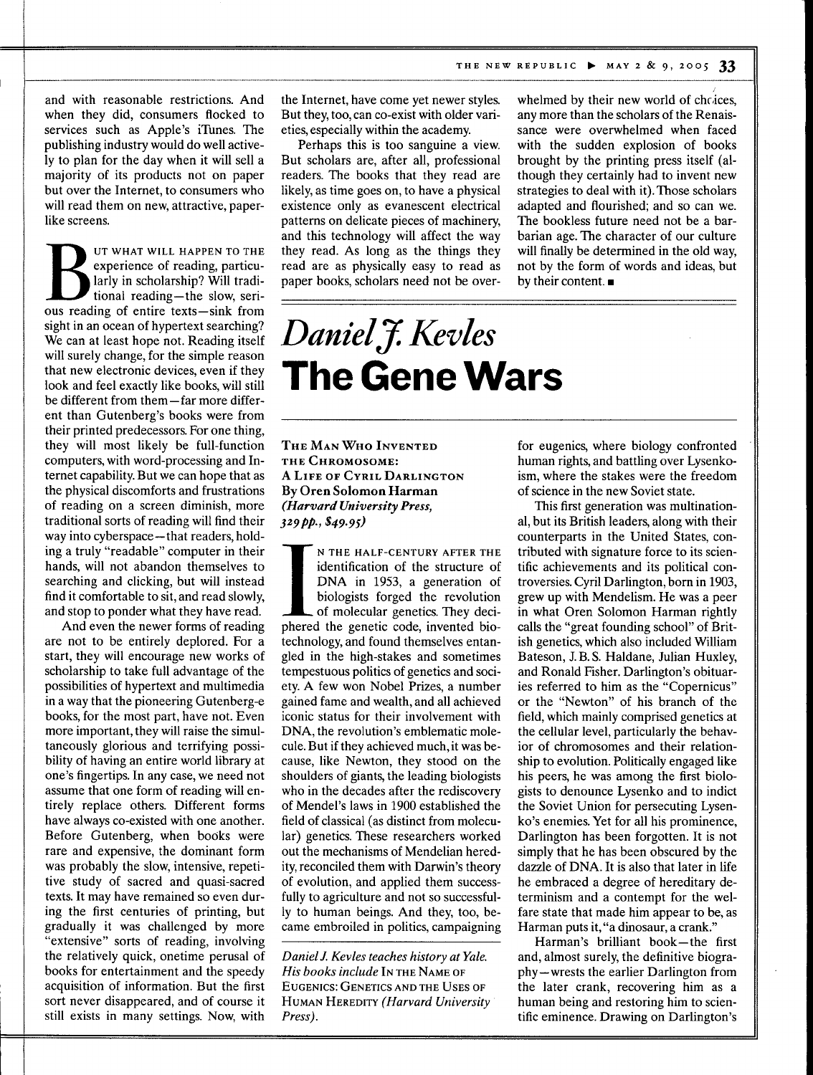and with reasonable restrictions. And when they did, consumers flocked to services such as Apple's iTunes. The publishing industry would do well actively to plan for the day when it will sell a majority of its products not on paper but over the Internet, to consumers who will read them on new, attractive, paperlike screens.

UT WHAT WILL HAPPEN TO THE experience of reading, particularly in scholarship? Will tradi-<br>tional reading—the slow, seri-<br>ous reading of entire texts—sink from UT WHAT WILL HAPPEN TO THE experience of reading, particularly in scholarship? Will traditional reading—the slow, serisight in an ocean of hypertext searching? We can at least hope not. Reading itself will surely change, for the simple reason that new electronic devices, even if they look and feel exactly like books, will still be different from them—far more different than Gutenberg's books were from their printed predecessors. For one thing, they will most likely be full-function computers, with word-processing and Internet capability. But we can hope that as the physical discomforts and frustrations of reading on a screen diminish, more traditional sorts of reading will find their way into cyberspace—that readers, holding a truly "readable" computer in their hands, will not abandon themselves to searching and clicking, but will instead find it comfortable to sit, and read slowly, and stop to ponder what they have read.

And even the newer forms of reading are not to be entirely deplored. For a start, they will encourage new works of scholarship to take full advantage of the possibihties of hypertext and multimedia in a way that the pioneering Gutenberg-e books, for the most part, have not. Even more important, they will raise the simultaneously glorious and terrifying possibility of having an entire world library at one's fingertips. In any case, we need not assume that one form of reading will entirely replace others. Different forms have always co-existed with one another. Before Gutenberg, when books were rare and expensive, the dominant form was probably the slow, intensive, repetitive study of sacred and quasi-sacred texts. It may have remained so even during the first centuries of printing, but gradually it was challenged by more "extensive" sorts of reading, involving the relatively quick, onetime perusal of books for entertainment and the speedy acquisition of information. But the first sort never disappeared, and of course it still exists in many settings. Now, with

the Internet, have come yet newer styles. But they, too, can co-exist with older varieties, especially within the academy.

Perhaps this is too sanguine a view. But scholars are, after all, professional readers. The books that they read are likely, as time goes on, to have a physical existence only as evanescent electrical patterns on delicate pieces of machinery, and this technology will affect the way they read. As long as the things they read are as physically easy to read as paper books, scholars need not be overwhelmed by their new world of choices, any more than the scholars of the Renaissance were overwhelmed when faced with the sudden explosion of books brought by the printing press itself (although they certainly had to invent new strategies to deal with it). Those scholars adapted and flourished; and so can we. The bookless future need not be a barbarian age. The character of our culture will finally be determined in the old way, not by the form of words and ideas, but by their content.  $\blacksquare$ 

# *Daniel J. Kevles* **The Gene Wars**

THE MAN WHO INVENTED THE CHROMOSOME: A LIFE OF CYRIL DARLINGTON By Oren Solomon Harman *(Harvard University Press, 32c,pp., \$49.95)*

N THE HALF-CENTURY AFTER THE<br>identification of the structure of<br>DNA in 1953, a generation of<br>biologists forged the revolution<br>of molecular genetics. They deci-<br>phered the genetic code, invented bio-N THE HALF-CENTURY AFTER THE identification of the structure of DNA in 1953, a generation of biologists forged the revolution of molecular genetics. They decitechnology, and found themselves entangled in the high-stakes and sometimes tempestuous politics of genetics and society. A few won Nobel Prizes, a number gained fame and wealth, and all achieved iconic status for their involvement with DNA, the revolution's emblematic molecule. But if they achieved much, it was because, like Newton, they stood on the shoulders of giants, the leading biologists who in the decades after the rediscovery of Mendel's laws in 1900 established the field of classical (as distinct from molecular) genetics. These researchers worked out the mechanisms of Mendelian heredity, reconciled them with Darwin's theory of evolution, and applied them successfully to agriculture and not so successfully to human beings. And they, too, became embroiled in politics, campaigning

*Daniel J. Kevles teaches history at Yale. His books include* IN THE NAME OF EUGENICS: GENETICS AND THE USES OF HUMAN HEREDITY *(Harvard University Press).*

for eugenics, where biology confronted human rights, and battling over Lysenkoism, where the stakes were the freedom of science in the new Soviet state.

This first generation was multinational, but its British leaders, along with their counterparts in the United States, contributed with signature force to its scientific achievements and its political controversies. Cyril Darlington, bom in 1903, grew up with Mendelism. He was a peer in what Oren Solomon Harman rightly calls the "great founding school" of British genetics, which also included William Bateson, J. B. S. Haldane, Juhan Huxley, and Ronald Fisher. Darlington's obituaries referred to him as the "Copernicus" or the "Newton" of his branch of the field, which mainly comprised genetics at the cellular level, particularly the behavior of chromosomes and their relationship to evolution. Politically engaged like his peers, he was among the first biologists to denounce Lysenko and to indict the Soviet Union for persecuting Lysenko's enemies. Yet for all his prominence, Darlington has been forgotten. It is not simply that he has been obscured by the dazzle of DNA. It is also that later in life he embraced a degree of hereditary determinism and a contempt for the welfare state that made him appear to be, as Harman puts it, "a dinosaur, a crank."

Harman's brilliant book—the first and, almost surely, the definitive biography—wrests the earlier Darlington from the later crank, recovering him as a human being and restoring him to scientific eminence. Drawing on Darlington's